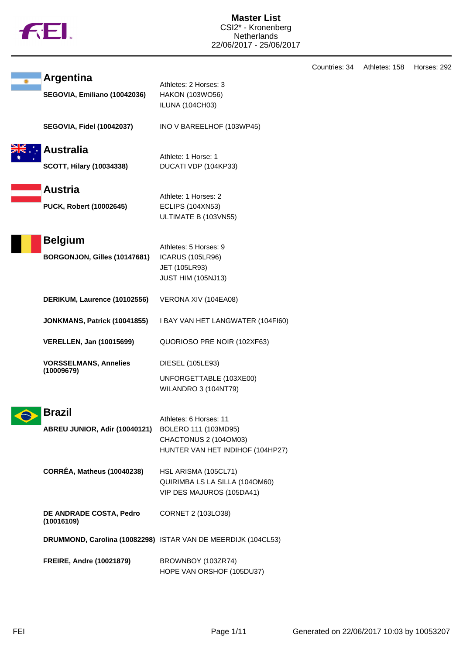

|           |                                                     |                                                                                                             | Countries: 34 | Athletes: 158 | Horses: 292 |
|-----------|-----------------------------------------------------|-------------------------------------------------------------------------------------------------------------|---------------|---------------|-------------|
|           | <b>Argentina</b><br>SEGOVIA, Emiliano (10042036)    | Athletes: 2 Horses: 3<br>HAKON (103WO56)<br><b>ILUNA (104CH03)</b>                                          |               |               |             |
|           | <b>SEGOVIA, Fidel (10042037)</b>                    | INO V BAREELHOF (103WP45)                                                                                   |               |               |             |
|           | <b>Australia</b><br><b>SCOTT, Hilary (10034338)</b> | Athlete: 1 Horse: 1<br>DUCATI VDP (104KP33)                                                                 |               |               |             |
|           | <b>Austria</b><br>PUCK, Robert (10002645)           | Athlete: 1 Horses: 2<br><b>ECLIPS (104XN53)</b><br>ULTIMATE B (103VN55)                                     |               |               |             |
|           | <b>Belgium</b><br>BORGONJON, Gilles (10147681)      | Athletes: 5 Horses: 9<br><b>ICARUS (105LR96)</b><br>JET (105LR93)<br><b>JUST HIM (105NJ13)</b>              |               |               |             |
|           | DERIKUM, Laurence (10102556)                        | VERONA XIV (104EA08)                                                                                        |               |               |             |
|           | JONKMANS, Patrick (10041855)                        | I BAY VAN HET LANGWATER (104FI60)                                                                           |               |               |             |
|           | <b>VERELLEN, Jan (10015699)</b>                     | QUORIOSO PRE NOIR (102XF63)                                                                                 |               |               |             |
|           | <b>VORSSELMANS, Annelies</b><br>(10009679)          | DIESEL (105LE93)<br>UNFORGETTABLE (103XE00)<br><b>WILANDRO 3 (104NT79)</b>                                  |               |               |             |
| $\bullet$ | <b>Brazil</b><br>ABREU JUNIOR, Adir (10040121)      | Athletes: 6 Horses: 11<br>BOLERO 111 (103MD95)<br>CHACTONUS 2 (104OM03)<br>HUNTER VAN HET INDIHOF (104HP27) |               |               |             |
|           | <b>CORRÊA, Matheus (10040238)</b>                   | HSL ARISMA (105CL71)<br>QUIRIMBA LS LA SILLA (1040M60)<br>VIP DES MAJUROS (105DA41)                         |               |               |             |
|           | DE ANDRADE COSTA, Pedro<br>(10016109)               | CORNET 2 (103LO38)                                                                                          |               |               |             |
|           |                                                     | DRUMMOND, Carolina (10082298) ISTAR VAN DE MEERDIJK (104CL53)                                               |               |               |             |
|           | <b>FREIRE, Andre (10021879)</b>                     | BROWNBOY (103ZR74)<br>HOPE VAN ORSHOF (105DU37)                                                             |               |               |             |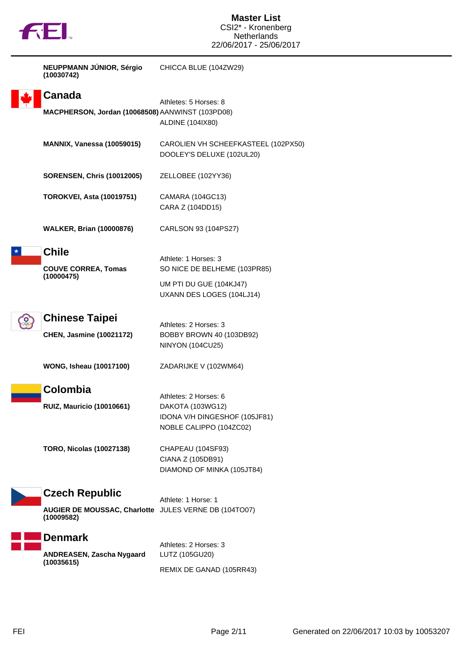

| NEUPPMANN JÚNIOR, Sérgio<br>(10030742)                                                       | CHICCA BLUE (104ZW29)                                                                                        |
|----------------------------------------------------------------------------------------------|--------------------------------------------------------------------------------------------------------------|
| Canada<br>MACPHERSON, Jordan (10068508) AANWINST (103PD08)                                   | Athletes: 5 Horses: 8<br>ALDINE (104IX80)                                                                    |
| <b>MANNIX, Vanessa (10059015)</b>                                                            | CAROLIEN VH SCHEEFKASTEEL (102PX50)<br>DOOLEY'S DELUXE (102UL20)                                             |
| <b>SORENSEN, Chris (10012005)</b>                                                            | ZELLOBEE (102YY36)                                                                                           |
| <b>TOROKVEI, Asta (10019751)</b>                                                             | CAMARA (104GC13)<br>CARA Z (104DD15)                                                                         |
| <b>WALKER, Brian (10000876)</b>                                                              | CARLSON 93 (104PS27)                                                                                         |
| <b>Chile</b><br><b>COUVE CORREA, Tomas</b><br>(10000475)                                     | Athlete: 1 Horses: 3<br>SO NICE DE BELHEME (103PR85)<br>UM PTI DU GUE (104KJ47)<br>UXANN DES LOGES (104LJ14) |
| <b>Chinese Taipei</b><br><b>CHEN, Jasmine (10021172)</b>                                     | Athletes: 2 Horses: 3<br>BOBBY BROWN 40 (103DB92)<br><b>NINYON (104CU25)</b>                                 |
| <b>WONG, Isheau (10017100)</b>                                                               | ZADARIJKE V (102WM64)                                                                                        |
| Colombia<br><b>RUIZ, Mauricio (10010661)</b>                                                 | Athletes: 2 Horses: 6<br>DAKOTA (103WG12)<br>IDONA V/H DINGESHOF (105JF81)<br>NOBLE CALIPPO (104ZC02)        |
| <b>TORO, Nicolas (10027138)</b>                                                              | CHAPEAU (104SF93)<br>CIANA Z (105DB91)<br>DIAMOND OF MINKA (105JT84)                                         |
| <b>Czech Republic</b><br>AUGIER DE MOUSSAC, Charlotte JULES VERNE DB (104TO07)<br>(10009582) | Athlete: 1 Horse: 1                                                                                          |
| <b>Denmark</b><br>ANDREASEN, Zascha Nygaard<br>(10035615)                                    | Athletes: 2 Horses: 3<br>LUTZ (105GU20)<br>REMIX DE GANAD (105RR43)                                          |
|                                                                                              |                                                                                                              |

**TEI**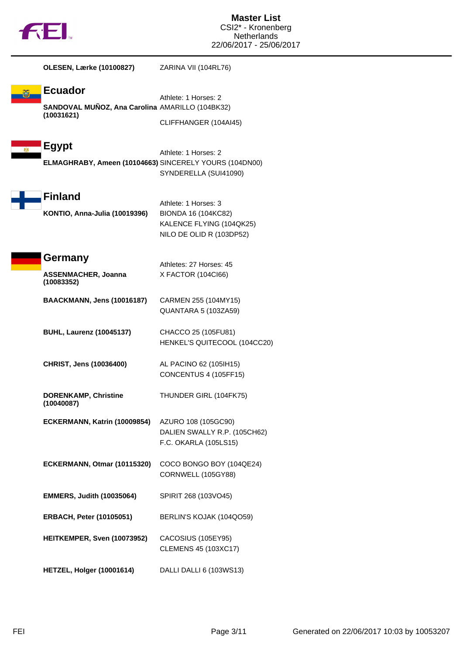

 $\blacksquare$ 

| OLESEN, Lærke (10100827)                                                        | ZARINA VII (104RL76)                                                                                |
|---------------------------------------------------------------------------------|-----------------------------------------------------------------------------------------------------|
| <b>Ecuador</b><br>SANDOVAL MUÑOZ, Ana Carolina AMARILLO (104BK32)<br>(10031621) | Athlete: 1 Horses: 2<br>CLIFFHANGER (104AI45)                                                       |
| <b>Egypt</b><br>ELMAGHRABY, Ameen (10104663) SINCERELY YOURS (104DN00)          | Athlete: 1 Horses: 2<br>SYNDERELLA (SUI41090)                                                       |
| <b>Finland</b><br>KONTIO, Anna-Julia (10019396)                                 | Athlete: 1 Horses: 3<br>BIONDA 16 (104KC82)<br>KALENCE FLYING (104QK25)<br>NILO DE OLID R (103DP52) |
| Germany<br><b>ASSENMACHER, Joanna</b><br>(10083352)                             | Athletes: 27 Horses: 45<br>X FACTOR (104Cl66)                                                       |
| BAACKMANN, Jens (10016187)                                                      | CARMEN 255 (104MY15)<br>QUANTARA 5 (103ZA59)                                                        |
| <b>BUHL, Laurenz (10045137)</b>                                                 | CHACCO 25 (105FU81)<br>HENKEL'S QUITECOOL (104CC20)                                                 |
| CHRIST, Jens (10036400)                                                         | AL PACINO 62 (105IH15)<br>CONCENTUS 4 (105FF15)                                                     |
| <b>DORENKAMP, Christine</b><br>(10040087)                                       | THUNDER GIRL (104FK75)                                                                              |
| ECKERMANN, Katrin (10009854)                                                    | AZURO 108 (105GC90)<br>DALIEN SWALLY R.P. (105CH62)<br>F.C. OKARLA (105LS15)                        |
| ECKERMANN, Otmar (10115320)                                                     | COCO BONGO BOY (104QE24)<br>CORNWELL (105GY88)                                                      |
| <b>EMMERS, Judith (10035064)</b>                                                | SPIRIT 268 (103VO45)                                                                                |
| <b>ERBACH, Peter (10105051)</b>                                                 | BERLIN'S KOJAK (104QO59)                                                                            |
| HEITKEMPER, Sven (10073952)                                                     | CACOSIUS (105EY95)<br><b>CLEMENS 45 (103XC17)</b>                                                   |
| HETZEL, Holger (10001614)                                                       | DALLI DALLI 6 (103WS13)                                                                             |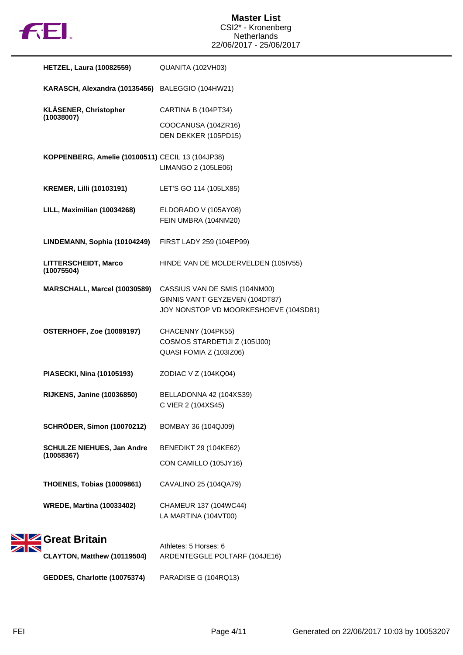

| <b>HETZEL, Laura (10082559)</b>                  | QUANITA (102VH03)                                                                                         |
|--------------------------------------------------|-----------------------------------------------------------------------------------------------------------|
| KARASCH, Alexandra (10135456) BALEGGIO (104HW21) |                                                                                                           |
| KLÄSENER, Christopher                            | CARTINA B (104PT34)                                                                                       |
| (10038007)                                       | COOCANUSA (104ZR16)<br>DEN DEKKER (105PD15)                                                               |
| KOPPENBERG, Amelie (10100511) CECIL 13 (104JP38) | LIMANGO 2 (105LE06)                                                                                       |
| <b>KREMER, Lilli (10103191)</b>                  | LET'S GO 114 (105LX85)                                                                                    |
| LILL, Maximilian (10034268)                      | ELDORADO V (105AY08)<br>FEIN UMBRA (104NM20)                                                              |
| LINDEMANN, Sophia (10104249)                     | FIRST LADY 259 (104EP99)                                                                                  |
| <b>LITTERSCHEIDT, Marco</b><br>(10075504)        | HINDE VAN DE MOLDERVELDEN (105IV55)                                                                       |
| MARSCHALL, Marcel (10030589)                     | CASSIUS VAN DE SMIS (104NM00)<br>GINNIS VAN'T GEYZEVEN (104DT87)<br>JOY NONSTOP VD MOORKESHOEVE (104SD81) |
| <b>OSTERHOFF, Zoe (10089197)</b>                 | CHACENNY (104PK55)<br>COSMOS STARDETIJI Z (105IJ00)<br>QUASI FOMIA Z (103IZ06)                            |
| PIASECKI, Nina (10105193)                        | ZODIAC V Z (104KQ04)                                                                                      |
| <b>RIJKENS, Janine (10036850)</b>                | BELLADONNA 42 (104XS39)<br>C VIER 2 (104XS45)                                                             |
| <b>SCHRÖDER, Simon (10070212)</b>                | BOMBAY 36 (104QJ09)                                                                                       |
| <b>SCHULZE NIEHUES, Jan Andre</b><br>(10058367)  | <b>BENEDIKT 29 (104KE62)</b>                                                                              |
|                                                  | CON CAMILLO (105JY16)                                                                                     |
| <b>THOENES, Tobias (10009861)</b>                | CAVALINO 25 (104QA79)                                                                                     |
| <b>WREDE, Martina (10033402)</b>                 | CHAMEUR 137 (104WC44)<br>LA MARTINA (104VT00)                                                             |
| SIZ Great Britain                                | Athletes: 5 Horses: 6                                                                                     |
| CLAYTON, Matthew (10119504)                      | ARDENTEGGLE POLTARF (104JE16)                                                                             |

**GEDDES, Charlotte (10075374)** PARADISE G (104RQ13)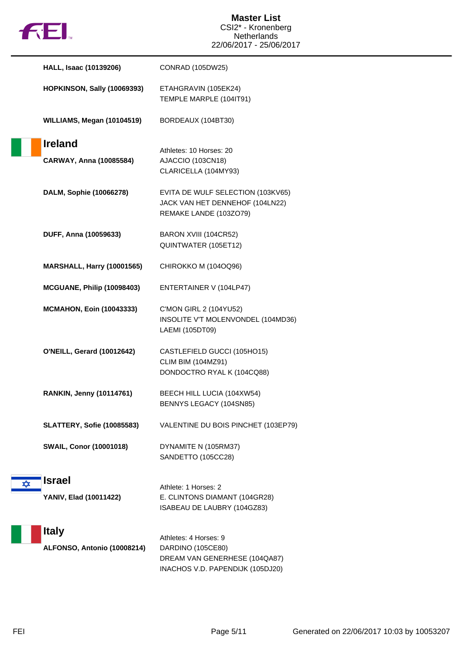

|   | <b>HALL, Isaac (10139206)</b>               | CONRAD (105DW25)                                                                                                |
|---|---------------------------------------------|-----------------------------------------------------------------------------------------------------------------|
|   | <b>HOPKINSON, Sally (10069393)</b>          | ETAHGRAVIN (105EK24)<br>TEMPLE MARPLE (104IT91)                                                                 |
|   | WILLIAMS, Megan (10104519)                  | BORDEAUX (104BT30)                                                                                              |
|   | <b>Ireland</b>                              | Athletes: 10 Horses: 20                                                                                         |
|   | CARWAY, Anna (10085584)                     | AJACCIO (103CN18)<br>CLARICELLA (104MY93)                                                                       |
|   | DALM, Sophie (10066278)                     | EVITA DE WULF SELECTION (103KV65)<br>JACK VAN HET DENNEHOF (104LN22)<br>REMAKE LANDE (103ZO79)                  |
|   | DUFF, Anna (10059633)                       | BARON XVIII (104CR52)<br>QUINTWATER (105ET12)                                                                   |
|   | <b>MARSHALL, Harry (10001565)</b>           | CHIROKKO M (104OQ96)                                                                                            |
|   | <b>MCGUANE, Philip (10098403)</b>           | ENTERTAINER V (104LP47)                                                                                         |
|   | <b>MCMAHON, Eoin (10043333)</b>             | C'MON GIRL 2 (104YU52)<br>INSOLITE V'T MOLENVONDEL (104MD36)<br>LAEMI (105DT09)                                 |
|   | <b>O'NEILL, Gerard (10012642)</b>           | CASTLEFIELD GUCCI (105HO15)<br><b>CLIM BIM (104MZ91)</b><br>DONDOCTRO RYAL K (104CQ88)                          |
|   | <b>RANKIN, Jenny (10114761)</b>             | BEECH HILL LUCIA (104XW54)<br>BENNYS LEGACY (104SN85)                                                           |
|   | <b>SLATTERY, Sofie (10085583)</b>           | VALENTINE DU BOIS PINCHET (103EP79)                                                                             |
|   | <b>SWAIL, Conor (10001018)</b>              | DYNAMITE N (105RM37)<br>SANDETTO (105CC28)                                                                      |
| ✿ | <b>Israel</b>                               | Athlete: 1 Horses: 2                                                                                            |
|   | YANIV, Elad (10011422)                      | E. CLINTONS DIAMANT (104GR28)<br>ISABEAU DE LAUBRY (104GZ83)                                                    |
|   | <b>Italy</b><br>ALFONSO, Antonio (10008214) | Athletes: 4 Horses: 9<br>DARDINO (105CE80)<br>DREAM VAN GENERHESE (104QA87)<br>INACHOS V.D. PAPENDIJK (105DJ20) |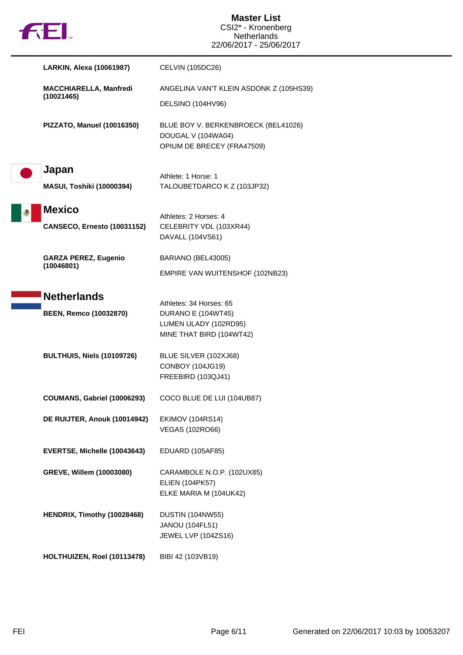

|                    | LARKIN, Alexa (10061987)           | <b>CELVIN (105DC26)</b>                                                                                   |
|--------------------|------------------------------------|-----------------------------------------------------------------------------------------------------------|
| (10021465)         | <b>MACCHIARELLA, Manfredi</b>      | ANGELINA VAN'T KLEIN ASDONK Z (105HS39)<br>DELSINO (104HV96)                                              |
|                    | PIZZATO, Manuel (10016350)         | BLUE BOY V. BERKENBROECK (BEL41026)<br>DOUGAL V (104WA04)<br>OPIUM DE BRECEY (FRA47509)                   |
| Japan              | <b>MASUI, Toshiki (10000394)</b>   | Athlete: 1 Horse: 1<br>TALOUBETDARCO K Z (103JP32)                                                        |
| <b>Mexico</b>      | <b>CANSECO, Ernesto (10031152)</b> | Athletes: 2 Horses: 4<br>CELEBRITY VDL (103XR44)<br>DAVALL (104VS61)                                      |
| (10046801)         | <b>GARZA PEREZ, Eugenio</b>        | BARIANO (BEL43005)<br>EMPIRE VAN WUITENSHOF (102NB23)                                                     |
| <b>Netherlands</b> | <b>BEEN, Remco (10032870)</b>      | Athletes: 34 Horses: 65<br><b>DURANO E (104WT45)</b><br>LUMEN ULADY (102RD95)<br>MINE THAT BIRD (104WT42) |
|                    | <b>BULTHUIS, Niels (10109726)</b>  | BLUE SILVER (102XJ68)<br><b>CONBOY (104JG19)</b><br>FREEBIRD (103QJ41)                                    |
|                    | <b>COUMANS, Gabriel (10006293)</b> | COCO BLUE DE LUI (104UB87)                                                                                |
|                    | DE RUIJTER, Anouk (10014942)       | <b>EKIMOV (104RS14)</b><br><b>VEGAS (102RO66)</b>                                                         |
|                    | EVERTSE, Michelle (10043643)       | <b>EDUARD (105AF85)</b>                                                                                   |
|                    | GREVE, Willem (10003080)           | CARAMBOLE N.O.P. (102UX85)<br><b>ELIEN (104PK57)</b><br>ELKE MARIA M (104UK42)                            |
|                    | HENDRIX, Timothy (10028468)        | <b>DUSTIN (104NW55)</b><br>JANOU (104FL51)<br>JEWEL LVP (104ZS16)                                         |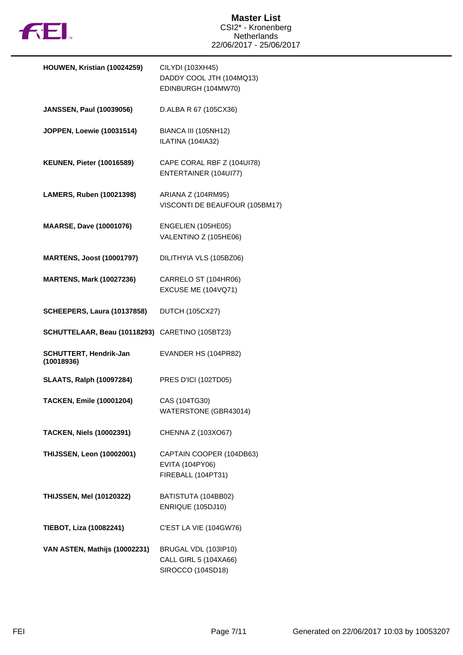

| HOUWEN, Kristian (10024259)                     | CILYDI (103XH45)<br>DADDY COOL JTH (104MQ13)<br>EDINBURGH (104MW70) |
|-------------------------------------------------|---------------------------------------------------------------------|
| <b>JANSSEN, Paul (10039056)</b>                 | D.ALBA R 67 (105CX36)                                               |
| JOPPEN, Loewie (10031514)                       | BIANCA III (105NH12)<br>ILATINA (104IA32)                           |
| <b>KEUNEN, Pieter (10016589)</b>                | CAPE CORAL RBF Z (104UI78)<br>ENTERTAINER (104UI77)                 |
| LAMERS, Ruben (10021398)                        | ARIANA Z (104RM95)<br>VISCONTI DE BEAUFOUR (105BM17)                |
| <b>MAARSE, Dave (10001076)</b>                  | ENGELIEN (105HE05)<br>VALENTINO Z (105HE06)                         |
| <b>MARTENS, Joost (10001797)</b>                | DILITHYIA VLS (105BZ06)                                             |
| <b>MARTENS, Mark (10027236)</b>                 | CARRELO ST (104HR06)<br>EXCUSE ME (104VQ71)                         |
| <b>SCHEEPERS, Laura (10137858)</b>              | <b>DUTCH (105CX27)</b>                                              |
| SCHUTTELAAR, Beau (10118293) CARETINO (105BT23) |                                                                     |
| <b>SCHUTTERT, Hendrik-Jan</b><br>(10018936)     | EVANDER HS (104PR82)                                                |
| <b>SLAATS, Ralph (10097284)</b>                 | PRES D'ICI (102TD05)                                                |
| <b>TACKEN, Emile (10001204)</b>                 | CAS (104TG30)<br>WATERSTONE (GBR43014)                              |
| <b>TACKEN, Niels (10002391)</b>                 | CHENNA Z (103XO67)                                                  |
| <b>THIJSSEN, Leon (10002001)</b>                | CAPTAIN COOPER (104DB63)<br>EVITA (104PY06)<br>FIREBALL (104PT31)   |
| <b>THIJSSEN, Mel (10120322)</b>                 | BATISTUTA (104BB02)<br>ENRIQUE (105DJ10)                            |
| TIEBOT, Liza (10082241)                         | C'EST LA VIE (104GW76)                                              |
| VAN ASTEN, Mathijs (10002231)                   | BRUGAL VDL (103IP10)<br>CALL GIRL 5 (104XA66)<br>SIROCCO (104SD18)  |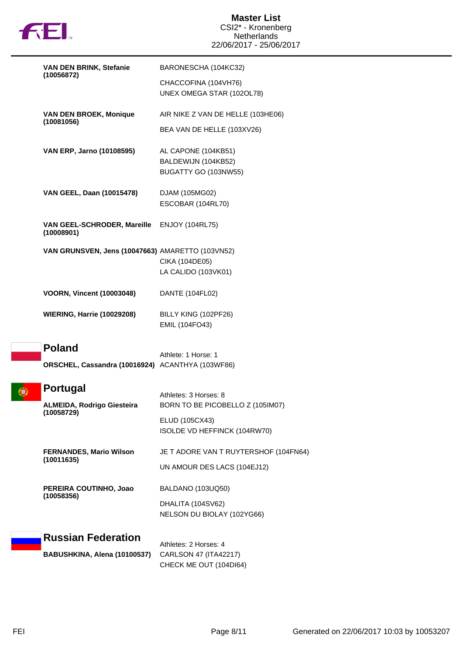

| VAN DEN BRINK, Stefanie<br>(10056872)                              | BARONESCHA (104KC32)                                                                                        |
|--------------------------------------------------------------------|-------------------------------------------------------------------------------------------------------------|
|                                                                    | CHACCOFINA (104VH76)<br>UNEX OMEGA STAR (102OL78)                                                           |
| <b>VAN DEN BROEK, Monique</b>                                      | AIR NIKE Z VAN DE HELLE (103HE06)                                                                           |
| (10081056)                                                         | BEA VAN DE HELLE (103XV26)                                                                                  |
| VAN ERP, Jarno (10108595)                                          | AL CAPONE (104KB51)<br>BALDEWIJN (104KB52)<br>BUGATTY GO (103NW55)                                          |
| VAN GEEL, Daan (10015478)                                          | DJAM (105MG02)<br>ESCOBAR (104RL70)                                                                         |
| VAN GEEL-SCHRODER, Mareille<br>(10008901)                          | <b>ENJOY (104RL75)</b>                                                                                      |
| VAN GRUNSVEN, Jens (10047663) AMARETTO (103VN52)                   | CIKA (104DE05)<br>LA CALIDO (103VK01)                                                                       |
| <b>VOORN, Vincent (10003048)</b>                                   | DANTE (104FL02)                                                                                             |
| <b>WIERING, Harrie (10029208)</b>                                  | BILLY KING (102PF26)<br>EMIL (104FO43)                                                                      |
| <b>Poland</b>                                                      | Athlete: 1 Horse: 1                                                                                         |
| ORSCHEL, Cassandra (10016924) ACANTHYA (103WF86)                   |                                                                                                             |
| <b>Portugal</b><br><b>ALMEIDA, Rodrigo Giesteira</b><br>(10058729) | Athletes: 3 Horses: 8<br>BORN TO BE PICOBELLO Z (105IM07)<br>ELUD (105CX43)<br>ISOLDE VD HEFFINCK (104RW70) |
| <b>FERNANDES, Mario Wilson</b><br>(10011635)                       | JE T ADORE VAN T RUYTERSHOF (104FN64)<br>UN AMOUR DES LACS (104EJ12)                                        |
| PEREIRA COUTINHO, Joao<br>(10058356)                               | BALDANO (103UQ50)<br>DHALITA (104SV62)<br>NELSON DU BIOLAY (102YG66)                                        |
| <b>Russian Federation</b>                                          | Athletes: 2 Horses: 4                                                                                       |
| BABUSHKINA, Alena (10100537)                                       | CARLSON 47 (ITA42217)<br>CHECK ME OUT (104DI64)                                                             |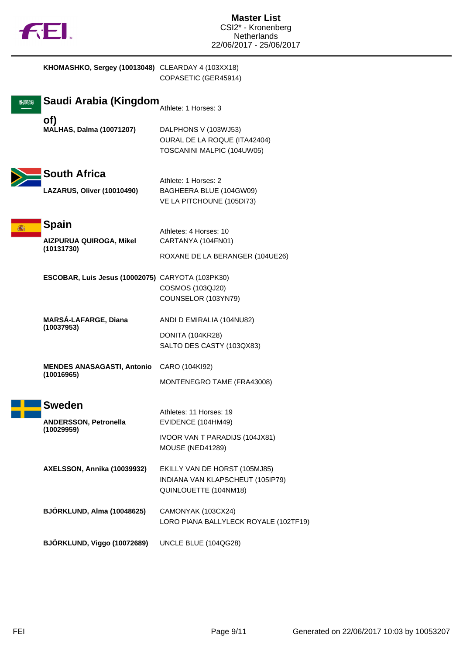

| KHOMASHKO, Sergey (10013048) CLEARDAY 4 (103XX18)           | COPASETIC (GER45914)                                                                                |
|-------------------------------------------------------------|-----------------------------------------------------------------------------------------------------|
| Saudi Arabia (Kingdom                                       | Athlete: 1 Horses: 3                                                                                |
| of)<br><b>MALHAS, Dalma (10071207)</b>                      | DALPHONS V (103WJ53)<br>OURAL DE LA ROQUE (ITA42404)<br>TOSCANINI MALPIC (104UW05)                  |
| <b>South Africa</b><br>LAZARUS, Oliver (10010490)           | Athlete: 1 Horses: 2<br>BAGHEERA BLUE (104GW09)<br>VE LA PITCHOUNE (105DI73)                        |
| <b>Spain</b>                                                | Athletes: 4 Horses: 10                                                                              |
| <b>AIZPURUA QUIROGA, Mikel</b><br>(10131730)                | CARTANYA (104FN01)                                                                                  |
|                                                             | ROXANE DE LA BERANGER (104UE26)                                                                     |
| ESCOBAR, Luis Jesus (10002075) CARYOTA (103PK30)            | COSMOS (103QJ20)<br>COUNSELOR (103YN79)                                                             |
| <b>MARSÁ-LAFARGE, Diana</b><br>(10037953)                   | ANDI D EMIRALIA (104NU82)<br>DONITA (104KR28)<br>SALTO DES CASTY (103QX83)                          |
| <b>MENDES ANASAGASTI, Antonio</b><br>(10016965)             | CARO (104KI92)<br>MONTENEGRO TAME (FRA43008)                                                        |
| <b>Sweden</b><br><b>ANDERSSON, Petronella</b><br>(10029959) | Athletes: 11 Horses: 19<br>EVIDENCE (104HM49)<br>IVOOR VAN T PARADIJS (104JX81)<br>MOUSE (NED41289) |
| AXELSSON, Annika (10039932)                                 | EKILLY VAN DE HORST (105MJ85)<br>INDIANA VAN KLAPSCHEUT (105IP79)<br>QUINLOUETTE (104NM18)          |
| BJÖRKLUND, Alma (10048625)                                  | CAMONYAK (103CX24)<br>LORO PIANA BALLYLECK ROYALE (102TF19)                                         |
| BJÖRKLUND, Viggo (10072689)                                 | UNCLE BLUE (104QG28)                                                                                |

I ľ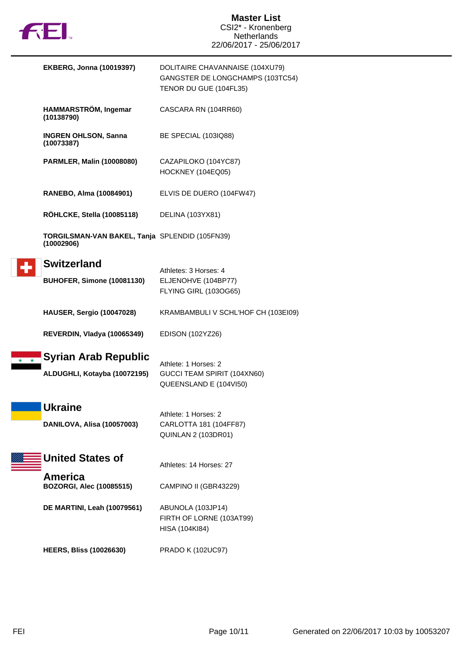

| <b>EKBERG, Jonna (10019397)</b>                              | DOLITAIRE CHAVANNAISE (104XU79)<br>GANGSTER DE LONGCHAMPS (103TC54)<br>TENOR DU GUE (104FL35) |
|--------------------------------------------------------------|-----------------------------------------------------------------------------------------------|
| HAMMARSTRÖM, Ingemar<br>(10138790)                           | CASCARA RN (104RR60)                                                                          |
| <b>INGREN OHLSON, Sanna</b><br>(10073387)                    | BE SPECIAL (103IQ88)                                                                          |
| <b>PARMLER, Malin (10008080)</b>                             | CAZAPILOKO (104YC87)<br>HOCKNEY (104EQ05)                                                     |
| RANEBO, Alma (10084901)                                      | ELVIS DE DUERO (104FW47)                                                                      |
| <b>ROHLCKE, Stella (10085118)</b>                            | DELINA (103YX81)                                                                              |
| TORGILSMAN-VAN BAKEL, Tanja SPLENDID (105FN39)<br>(10002906) |                                                                                               |
| <b>Switzerland</b><br><b>BUHOFER, Simone (10081130)</b>      | Athletes: 3 Horses: 4<br>ELJENOHVE (104BP77)<br>FLYING GIRL (103OG65)                         |
| <b>HAUSER, Sergio (10047028)</b>                             | KRAMBAMBULI V SCHL'HOF CH (103EI09)                                                           |
| REVERDIN, Vladya (10065349)                                  | EDISON (102YZ26)                                                                              |
| Syrian Arab Republic<br>ALDUGHLI, Kotayba (10072195)         | Athlete: 1 Horses: 2<br>GUCCI TEAM SPIRIT (104XN60)<br>QUEENSLAND E (104VI50)                 |
| <b>Ukraine</b><br>DANILOVA, Alisa (10057003)                 | Athlete: 1 Horses: 2<br>CARLOTTA 181 (104FF87)<br><b>QUINLAN 2 (103DR01)</b>                  |
| <b>United States of</b>                                      | Athletes: 14 Horses: 27                                                                       |
| America<br><b>BOZORGI, Alec (10085515)</b>                   | CAMPINO II (GBR43229)                                                                         |
| <b>DE MARTINI, Leah (10079561)</b>                           | ABUNOLA (103JP14)<br>FIRTH OF LORNE (103AT99)<br>HISA (104KI84)                               |
| <b>HEERS, Bliss (10026630)</b>                               | <b>PRADO K (102UC97)</b>                                                                      |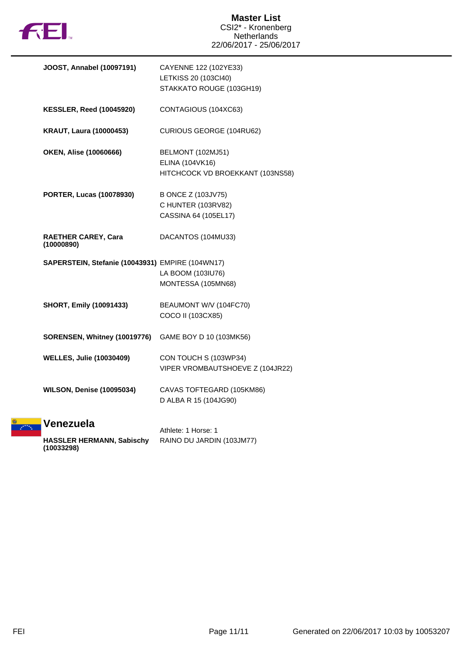

| JOOST, Annabel (10097191)                        | CAYENNE 122 (102YE33)            |
|--------------------------------------------------|----------------------------------|
|                                                  | LETKISS 20 (103Cl40)             |
|                                                  | STAKKATO ROUGE (103GH19)         |
| <b>KESSLER, Reed (10045920)</b>                  | CONTAGIOUS (104XC63)             |
| <b>KRAUT, Laura (10000453)</b>                   | CURIOUS GEORGE (104RU62)         |
| <b>OKEN, Alise (10060666)</b>                    | BELMONT (102MJ51)                |
|                                                  | ELINA (104VK16)                  |
|                                                  | HITCHCOCK VD BROEKKANT (103NS58) |
| <b>PORTER, Lucas (10078930)</b>                  | B ONCE Z (103JV75)               |
|                                                  | C HUNTER (103RV82)               |
|                                                  | CASSINA 64 (105EL17)             |
| <b>RAETHER CAREY, Cara</b><br>(10000890)         | DACANTOS (104MU33)               |
| SAPERSTEIN, Stefanie (10043931) EMPIRE (104WN17) |                                  |
|                                                  | LA BOOM (103IU76)                |
|                                                  | MONTESSA (105MN68)               |
| <b>SHORT, Emily (10091433)</b>                   | BEAUMONT W/V (104FC70)           |
|                                                  | COCO II (103CX85)                |
| SORENSEN, Whitney (10019776)                     | GAME BOY D 10 (103MK56)          |
| <b>WELLES, Julie (10030409)</b>                  | CON TOUCH S (103WP34)            |
|                                                  | VIPER VROMBAUTSHOEVE Z (104JR22) |
| <b>WILSON, Denise (10095034)</b>                 | CAVAS TOFTEGARD (105KM86)        |
|                                                  | D ALBA R 15 (104JG90)            |
| Venezuela                                        |                                  |
|                                                  | Athlete: 1 Horse: 1              |
| <b>HASSLER HERMANN, Sabischy</b>                 | RAINO DU JARDIN (103JM77)        |

**(10033298)**

**Annak**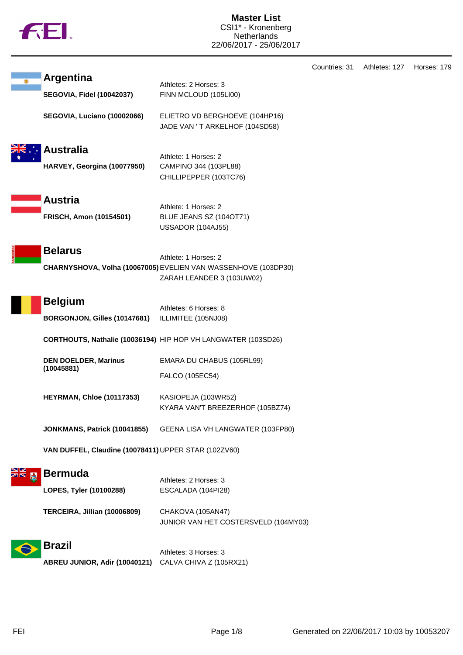|  | <b>TM</b> |
|--|-----------|
|  |           |

**Master List** CSI1\* - Kronenberg Netherlands 22/06/2017 - 25/06/2017

|                                                      |                                                                                                                     | Countries: 31 | Athletes: 127 | Horses: 179 |
|------------------------------------------------------|---------------------------------------------------------------------------------------------------------------------|---------------|---------------|-------------|
| <b>Argentina</b><br><b>SEGOVIA, Fidel (10042037)</b> | Athletes: 2 Horses: 3<br>FINN MCLOUD (105LI00)                                                                      |               |               |             |
| SEGOVIA, Luciano (10002066)                          | ELIETRO VD BERGHOEVE (104HP16)<br>JADE VAN 'T ARKELHOF (104SD58)                                                    |               |               |             |
| <b>Australia</b><br>HARVEY, Georgina (10077950)      | Athlete: 1 Horses: 2<br>CAMPINO 344 (103PL88)<br>CHILLIPEPPER (103TC76)                                             |               |               |             |
| <b>Austria</b><br><b>FRISCH, Amon (10154501)</b>     | Athlete: 1 Horses: 2<br>BLUE JEANS SZ (104OT71)<br>USSADOR (104AJ55)                                                |               |               |             |
| <b>Belarus</b>                                       | Athlete: 1 Horses: 2<br>CHARNYSHOVA, Volha (10067005) EVELIEN VAN WASSENHOVE (103DP30)<br>ZARAH LEANDER 3 (103UW02) |               |               |             |
| <b>Belgium</b><br>BORGONJON, Gilles (10147681)       | Athletes: 6 Horses: 8<br>ILLIMITEE (105NJ08)                                                                        |               |               |             |
|                                                      | CORTHOUTS, Nathalie (10036194) HIP HOP VH LANGWATER (103SD26)                                                       |               |               |             |
| <b>DEN DOELDER, Marinus</b><br>(10045881)            | EMARA DU CHABUS (105RL99)<br>FALCO (105EC54)                                                                        |               |               |             |
| <b>HEYRMAN, Chloe (10117353)</b>                     | KASIOPEJA (103WR52)<br>KYARA VAN'T BREEZERHOF (105BZ74)                                                             |               |               |             |
| JONKMANS, Patrick (10041855)                         | GEENA LISA VH LANGWATER (103FP80)                                                                                   |               |               |             |
| VAN DUFFEL, Claudine (10078411) UPPER STAR (102ZV60) |                                                                                                                     |               |               |             |
| <b>Bermuda</b><br>LOPES, Tyler (10100288)            | Athletes: 2 Horses: 3<br>ESCALADA (104PI28)                                                                         |               |               |             |
| TERCEIRA, Jillian (10006809)                         | CHAKOVA (105AN47)<br>JUNIOR VAN HET COSTERSVELD (104MY03)                                                           |               |               |             |
| <b>Brazil</b><br>ABREU JUNIOR, Adir (10040121)       | Athletes: 3 Horses: 3<br>CALVA CHIVA Z (105RX21)                                                                    |               |               |             |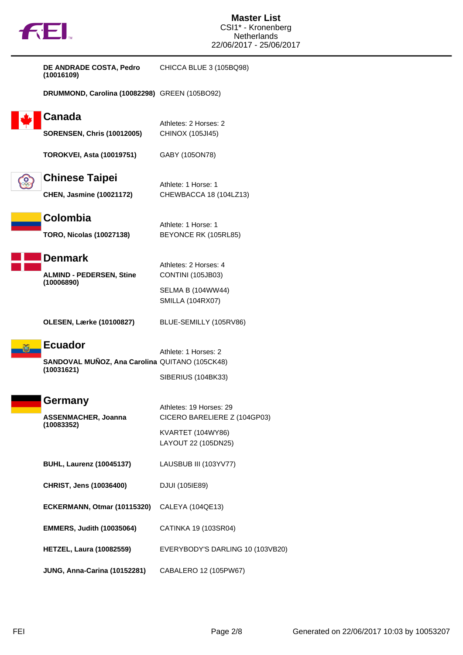| DE ANDRADE COSTA, Pedro<br>(10016109)                        | CHICCA BLUE 3 (105BQ98)                      |
|--------------------------------------------------------------|----------------------------------------------|
| DRUMMOND, Carolina (10082298) GREEN (105BO92)                |                                              |
| Canada                                                       | Athletes: 2 Horses: 2                        |
| <b>SORENSEN, Chris (10012005)</b>                            | CHINOX (105JI45)                             |
| <b>TOROKVEI, Asta (10019751)</b>                             | GABY (105ON78)                               |
| <b>Chinese Taipei</b>                                        | Athlete: 1 Horse: 1                          |
| <b>CHEN, Jasmine (10021172)</b>                              | CHEWBACCA 18 (104LZ13)                       |
| Colombia                                                     |                                              |
| <b>TORO, Nicolas (10027138)</b>                              | Athlete: 1 Horse: 1<br>BEYONCE RK (105RL85)  |
| <b>Denmark</b>                                               |                                              |
| <b>ALMIND - PEDERSEN, Stine</b>                              | Athletes: 2 Horses: 4<br>CONTINI (105JB03)   |
| (10006890)                                                   | SELMA B (104WW44)<br><b>SMILLA (104RX07)</b> |
| <b>OLESEN, Lærke (10100827)</b>                              | BLUE-SEMILLY (105RV86)                       |
| <b>Ecuador</b>                                               | Athlete: 1 Horses: 2                         |
| SANDOVAL MUÑOZ, Ana Carolina QUITANO (105CK48)<br>(10031621) |                                              |
|                                                              | SIBERIUS (104BK33)                           |
| Germany                                                      | Athletes: 19 Horses: 29                      |
| <b>ASSENMACHER, Joanna</b><br>(10083352)                     | CICERO BARELIERE Z (104GP03)                 |
|                                                              | KVARTET (104WY86)<br>LAYOUT 22 (105DN25)     |
| <b>BUHL, Laurenz (10045137)</b>                              | LAUSBUB III (103YV77)                        |
| CHRIST, Jens (10036400)                                      | DJUI (105IE89)                               |
| ECKERMANN, Otmar (10115320)                                  | CALEYA (104QE13)                             |
| <b>EMMERS, Judith (10035064)</b>                             | CATINKA 19 (103SR04)                         |
| <b>HETZEL, Laura (10082559)</b>                              | EVERYBODY'S DARLING 10 (103VB20)             |
| JUNG, Anna-Carina (10152281)                                 | CABALERO 12 (105PW67)                        |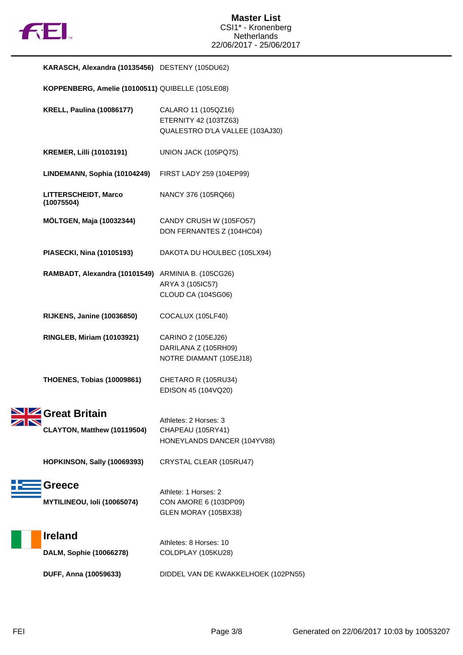

| KARASCH, Alexandra (10135456) DESTENY (105DU62)    |                                                                                 |
|----------------------------------------------------|---------------------------------------------------------------------------------|
| KOPPENBERG, Amelie (10100511) QUIBELLE (105LE08)   |                                                                                 |
| <b>KRELL, Paulina (10086177)</b>                   | CALARO 11 (105QZ16)<br>ETERNITY 42 (103TZ63)<br>QUALESTRO D'LA VALLEE (103AJ30) |
| <b>KREMER, Lilli (10103191)</b>                    | UNION JACK (105PQ75)                                                            |
| LINDEMANN, Sophia (10104249)                       | FIRST LADY 259 (104EP99)                                                        |
| LITTERSCHEIDT, Marco<br>(10075504)                 | NANCY 376 (105RQ66)                                                             |
| <b>MÖLTGEN, Maja (10032344)</b>                    | CANDY CRUSH W (105FO57)<br>DON FERNANTES Z (104HC04)                            |
| PIASECKI, Nina (10105193)                          | DAKOTA DU HOULBEC (105LX94)                                                     |
| RAMBADT, Alexandra (10101549) ARMINIA B. (105CG26) | ARYA 3 (105IC57)<br>CLOUD CA (104SG06)                                          |
| <b>RIJKENS, Janine (10036850)</b>                  | COCALUX (105LF40)                                                               |
| <b>RINGLEB, Miriam (10103921)</b>                  | CARINO 2 (105EJ26)<br>DARILANA Z (105RH09)<br>NOTRE DIAMANT (105EJ18)           |
| <b>THOENES, Tobias (10009861)</b>                  | CHETARO R (105RU34)<br>EDISON 45 (104VQ20)                                      |
| Size Great Britain<br>CLAYTON, Matthew (10119504)  | Athletes: 2 Horses: 3<br>CHAPEAU (105RY41)<br>HONEYLANDS DANCER (104YV88)       |
| <b>HOPKINSON, Sally (10069393)</b>                 | CRYSTAL CLEAR (105RU47)                                                         |
| Greece<br>MYTILINEOU, Ioli (10065074)              | Athlete: 1 Horses: 2<br>CON AMORE 6 (103DP09)<br>GLEN MORAY (105BX38)           |
| <b>Ireland</b><br>DALM, Sophie (10066278)          | Athletes: 8 Horses: 10<br>COLDPLAY (105KU28)                                    |
| DUFF, Anna (10059633)                              | DIDDEL VAN DE KWAKKELHOEK (102PN55)                                             |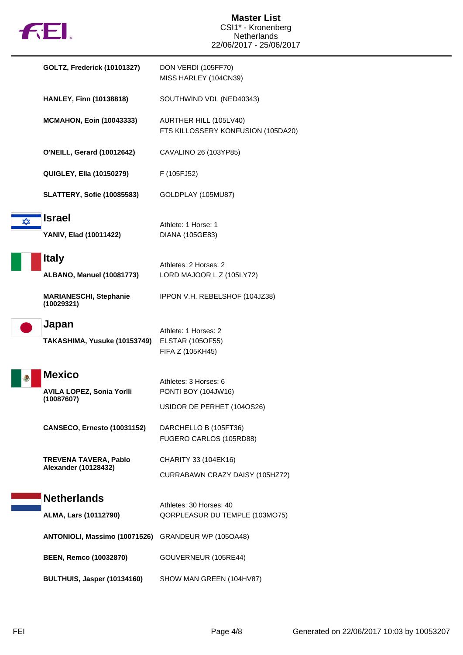|  | X |
|--|---|
|  |   |

|   | <b>GOLTZ, Frederick (10101327)</b>                   | DON VERDI (105FF70)<br>MISS HARLEY (104CN39)                        |
|---|------------------------------------------------------|---------------------------------------------------------------------|
|   | <b>HANLEY, Finn (10138818)</b>                       | SOUTHWIND VDL (NED40343)                                            |
|   | <b>MCMAHON, Eoin (10043333)</b>                      | AURTHER HILL (105LV40)<br>FTS KILLOSSERY KONFUSION (105DA20)        |
|   | <b>O'NEILL, Gerard (10012642)</b>                    | CAVALINO 26 (103YP85)                                               |
|   | <b>QUIGLEY, Ella (10150279)</b>                      | F (105FJ52)                                                         |
|   | <b>SLATTERY, Sofie (10085583)</b>                    | GOLDPLAY (105MU87)                                                  |
| ✿ | <b>Israel</b><br>YANIV, Elad (10011422)              | Athlete: 1 Horse: 1<br>DIANA (105GE83)                              |
|   | <b>Italy</b><br><b>ALBANO, Manuel (10081773)</b>     | Athletes: 2 Horses: 2<br>LORD MAJOOR L Z (105LY72)                  |
|   | <b>MARIANESCHI, Stephanie</b><br>(10029321)          | IPPON V.H. REBELSHOF (104JZ38)                                      |
|   | Japan<br>TAKASHIMA, Yusuke (10153749)                | Athlete: 1 Horses: 2<br><b>ELSTAR (105OF55)</b><br>FIFA Z (105KH45) |
|   | <b>Mexico</b>                                        | Athletes: 3 Horses: 6                                               |
|   | <b>AVILA LOPEZ, Sonia Yorlli</b><br>(10087607)       | PONTI BOY (104JW16)                                                 |
|   |                                                      | USIDOR DE PERHET (104OS26)                                          |
|   | <b>CANSECO, Ernesto (10031152)</b>                   | DARCHELLO B (105FT36)<br>FUGERO CARLOS (105RD88)                    |
|   | <b>TREVENA TAVERA, Pablo</b><br>Alexander (10128432) | CHARITY 33 (104EK16)                                                |
|   |                                                      | CURRABAWN CRAZY DAISY (105HZ72)                                     |
|   | <b>Netherlands</b>                                   | Athletes: 30 Horses: 40                                             |
|   | ALMA, Lars (10112790)                                | QORPLEASUR DU TEMPLE (103MO75)                                      |
|   | ANTONIOLI, Massimo (10071526)                        | GRANDEUR WP (105OA48)                                               |
|   | <b>BEEN, Remco (10032870)</b>                        | GOUVERNEUR (105RE44)                                                |
|   | BULTHUIS, Jasper (10134160)                          | SHOW MAN GREEN (104HV87)                                            |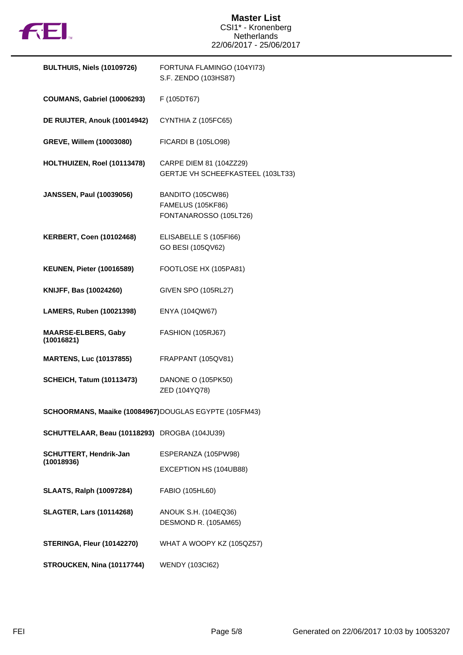

## **Master List** CSI1\* - Kronenberg Netherlands 22/06/2017 - 25/06/2017

| <b>BULTHUIS, Niels (10109726)</b>                     | FORTUNA FLAMINGO (104YI73)<br>S.F. ZENDO (103HS87)                      |
|-------------------------------------------------------|-------------------------------------------------------------------------|
| <b>COUMANS, Gabriel (10006293)</b>                    | F (105DT67)                                                             |
| DE RUIJTER, Anouk (10014942)                          | CYNTHIA Z (105FC65)                                                     |
| GREVE, Willem (10003080)                              | <b>FICARDI B (105LO98)</b>                                              |
| HOLTHUIZEN, Roel (10113478)                           | CARPE DIEM 81 (104ZZ29)<br>GERTJE VH SCHEEFKASTEEL (103LT33)            |
| <b>JANSSEN, Paul (10039056)</b>                       | BANDITO (105CW86)<br><b>FAMELUS (105KF86)</b><br>FONTANAROSSO (105LT26) |
| <b>KERBERT, Coen (10102468)</b>                       | ELISABELLE S (105FI66)<br>GO BESI (105QV62)                             |
| <b>KEUNEN, Pieter (10016589)</b>                      | FOOTLOSE HX (105PA81)                                                   |
| KNIJFF, Bas (10024260)                                | <b>GIVEN SPO (105RL27)</b>                                              |
| LAMERS, Ruben (10021398)                              | ENYA (104QW67)                                                          |
| <b>MAARSE-ELBERS, Gaby</b><br>(10016821)              | <b>FASHION (105RJ67)</b>                                                |
| <b>MARTENS, Luc (10137855)</b>                        | FRAPPANT (105QV81)                                                      |
| <b>SCHEICH, Tatum (10113473)</b>                      | DANONE O (105PK50)<br>ZED (104YQ78)                                     |
| SCHOORMANS, Maaike (10084967)DOUGLAS EGYPTE (105FM43) |                                                                         |
| SCHUTTELAAR, Beau (10118293) DROGBA (104JU39)         |                                                                         |
| <b>SCHUTTERT, Hendrik-Jan</b><br>(10018936)           | ESPERANZA (105PW98)                                                     |
|                                                       | EXCEPTION HS (104UB88)                                                  |
| <b>SLAATS, Ralph (10097284)</b>                       | FABIO (105HL60)                                                         |
| <b>SLAGTER, Lars (10114268)</b>                       | ANOUK S.H. (104EQ36)<br>DESMOND R. (105AM65)                            |
| <b>STERINGA, Fleur (10142270)</b>                     | WHAT A WOOPY KZ (105QZ57)                                               |
| STROUCKEN, Nina (10117744)                            | <b>WENDY (103Cl62)</b>                                                  |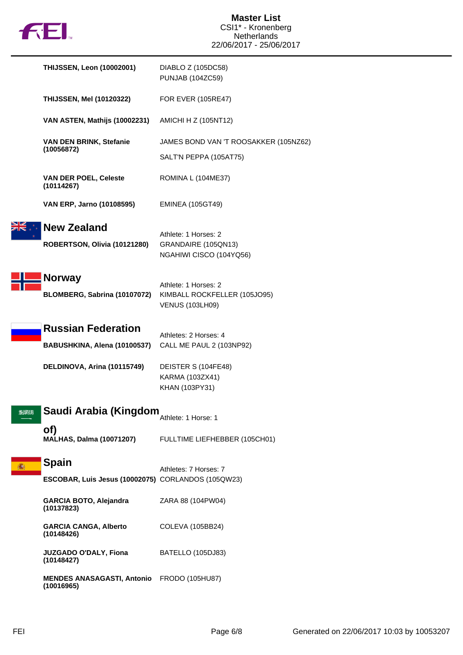

|      | <b>THIJSSEN, Leon (10002001)</b>                                   | DIABLO Z (105DC58)<br><b>PUNJAB (104ZC59)</b>                                  |
|------|--------------------------------------------------------------------|--------------------------------------------------------------------------------|
|      | <b>THIJSSEN, Mel (10120322)</b>                                    | <b>FOR EVER (105RE47)</b>                                                      |
|      | VAN ASTEN, Mathijs (10002231)                                      | AMICHI H Z (105NT12)                                                           |
|      | VAN DEN BRINK, Stefanie<br>(10056872)                              | JAMES BOND VAN 'T ROOSAKKER (105NZ62)<br>SALT'N PEPPA (105AT75)                |
|      | <b>VAN DER POEL, Celeste</b><br>(10114267)                         | ROMINA L (104ME37)                                                             |
|      | VAN ERP, Jarno (10108595)                                          | <b>EMINEA (105GT49)</b>                                                        |
|      | <b>New Zealand</b><br>ROBERTSON, Olivia (10121280)                 | Athlete: 1 Horses: 2<br>GRANDAIRE (105QN13)<br>NGAHIWI CISCO (104YQ56)         |
|      | <b>Norway</b><br>BLOMBERG, Sabrina (10107072)                      | Athlete: 1 Horses: 2<br>KIMBALL ROCKFELLER (105JO95)<br><b>VENUS (103LH09)</b> |
|      | <b>Russian Federation</b><br>BABUSHKINA, Alena (10100537)          | Athletes: 2 Horses: 4<br>CALL ME PAUL 2 (103NP92)                              |
|      | DELDINOVA, Arina (10115749)                                        | DEISTER S (104FE48)<br>KARMA (103ZX41)<br>KHAN (103PY31)                       |
| SEMN | Saudi Arabia (Kingdom                                              | Athlete: 1 Horse: 1                                                            |
|      | of)<br><b>MALHAS, Dalma (10071207)</b>                             | FULLTIME LIEFHEBBER (105CH01)                                                  |
|      | <b>Spain</b><br>ESCOBAR, Luis Jesus (10002075) CORLANDOS (105QW23) | Athletes: 7 Horses: 7                                                          |
|      | GARCIA BOTO, Alejandra<br>(10137823)                               | ZARA 88 (104PW04)                                                              |
|      | <b>GARCIA CANGA, Alberto</b><br>(10148426)                         | COLEVA (105BB24)                                                               |
|      | JUZGADO O'DALY, Fiona<br>(10148427)                                | BATELLO (105DJ83)                                                              |
|      | <b>MENDES ANASAGASTI, Antonio</b><br>(10016965)                    | FRODO (105HU87)                                                                |
|      |                                                                    |                                                                                |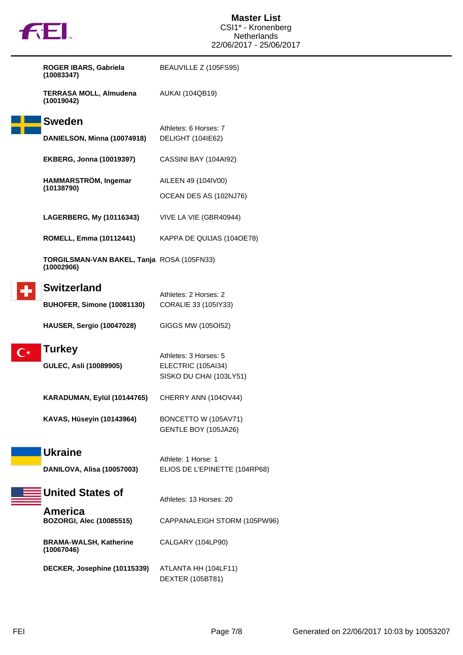|                         | <b>132.</b>                                              | <b>Master List</b><br>CSI1* - Kronenberg<br><b>Netherlands</b> |
|-------------------------|----------------------------------------------------------|----------------------------------------------------------------|
|                         |                                                          | 22/06/2017 - 25/06/2017                                        |
|                         | ROGER IBARS, Gabriela<br>(10083347)                      | BEAUVILLE Z (105FS95)                                          |
|                         | <b>TERRASA MOLL, Almudena</b><br>(10019042)              | <b>AUKAI (104QB19)</b>                                         |
|                         | <b>Sweden</b>                                            | Athletes: 6 Horses: 7                                          |
|                         | DANIELSON, Minna (10074918)                              | DELIGHT (104IE62)                                              |
|                         | <b>EKBERG, Jonna (10019397)</b>                          | CASSINI BAY (104AI92)                                          |
|                         | HAMMARSTRÖM, Ingemar<br>(10138790)                       | AILEEN 49 (104IV00)                                            |
|                         |                                                          | OCEAN DES AS (102NJ76)                                         |
|                         | LAGERBERG, My (10116343)                                 | VIVE LA VIE (GBR40944)                                         |
|                         | ROMELL, Emma (10112441)                                  | KAPPA DE QUIJAS (1040E78)                                      |
|                         | TORGILSMAN-VAN BAKEL, Tanja ROSA (105FN33)<br>(10002906) |                                                                |
|                         | <b>Switzerland</b>                                       | Athletes: 2 Horses: 2                                          |
|                         | <b>BUHOFER, Simone (10081130)</b>                        | CORALIE 33 (105IY33)                                           |
|                         | HAUSER, Sergio (10047028)                                | GIGGS MW (105OI52)                                             |
| $\overline{\mathbf{C}}$ | <b>Turkey</b>                                            |                                                                |
|                         | GULEC, Asli (10089905)                                   | Athletes: 3 Horses: 5<br>ELECTRIC (105AI34)                    |
|                         |                                                          | SISKO DU CHAI (103LY51)                                        |
|                         | KARADUMAN, Eylül (10144765)                              | CHERRY ANN (104OV44)                                           |
|                         | <b>KAVAS, Hüseyin (10143964)</b>                         | BONCETTO W (105AV71)<br>GENTLE BOY (105JA26)                   |
|                         | <b>Ukraine</b><br>DANILOVA, Alisa (10057003)             | Athlete: 1 Horse: 1<br>ELIOS DE L'EPINETTE (104RP68)           |
|                         |                                                          |                                                                |
|                         | <b>United States of</b>                                  | Athletes: 13 Horses: 20                                        |
|                         | <b>America</b><br><b>BOZORGI, Alec (10085515)</b>        | CAPPANALEIGH STORM (105PW96)                                   |
|                         | <b>BRAMA-WALSH, Katherine</b><br>(10067046)              | CALGARY (104LP90)                                              |
|                         | DECKER, Josephine (10115339)                             | ATLANTA HH (104LF11)<br>DEXTER (105BT81)                       |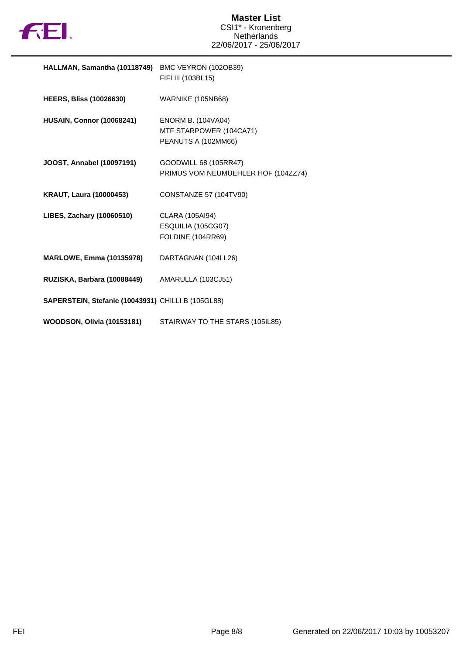

| HALLMAN, Samantha (10118749) BMC VEYRON (102OB39)  | FIFI III (103BL15)                                                          |
|----------------------------------------------------|-----------------------------------------------------------------------------|
| <b>HEERS, Bliss (10026630)</b>                     | WARNIKE (105NB68)                                                           |
| <b>HUSAIN, Connor (10068241)</b>                   | <b>ENORM B. (104VA04)</b><br>MTF STARPOWER (104CA71)<br>PEANUTS A (102MM66) |
| JOOST, Annabel (10097191)                          | GOODWILL 68 (105RR47)<br>PRIMUS VOM NEUMUEHLER HOF (104ZZ74)                |
| <b>KRAUT, Laura (10000453)</b>                     | <b>CONSTANZE 57 (104TV90)</b>                                               |
| LIBES, Zachary (10060510)                          | CLARA (105AI94)<br>ESQUILIA (105CG07)<br>FOLDINE (104RR69)                  |
| <b>MARLOWE, Emma (10135978)</b>                    | DARTAGNAN (104LL26)                                                         |
| RUZISKA, Barbara (10088449)                        | AMARULLA (103CJ51)                                                          |
| SAPERSTEIN, Stefanie (10043931) CHILLI B (105GL88) |                                                                             |
| <b>WOODSON, Olivia (10153181)</b>                  | STAIRWAY TO THE STARS (105IL85)                                             |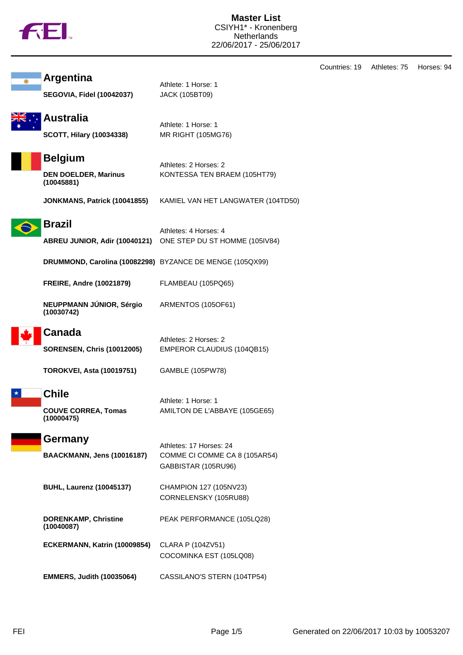|  | ΤM |
|--|----|
|  |    |

Countries: 19 Athletes: 75 Horses: 94

| <b>Argentina</b>                                            | Athlete: 1 Horse: 1                                                                   |
|-------------------------------------------------------------|---------------------------------------------------------------------------------------|
| <b>SEGOVIA, Fidel (10042037)</b>                            | <b>JACK (105BT09)</b>                                                                 |
| <b>Australia</b><br><b>SCOTT, Hilary (10034338)</b>         | Athlete: 1 Horse: 1<br>MR RIGHT (105MG76)                                             |
| <b>Belgium</b><br><b>DEN DOELDER, Marinus</b><br>(10045881) | Athletes: 2 Horses: 2<br>KONTESSA TEN BRAEM (105HT79)                                 |
| JONKMANS, Patrick (10041855)                                | KAMIEL VAN HET LANGWATER (104TD50)                                                    |
| <b>Brazil</b>                                               | Athletes: 4 Horses: 4<br>ABREU JUNIOR, Adir (10040121) ONE STEP DU ST HOMME (105IV84) |
| DRUMMOND, Carolina (10082298) BYZANCE DE MENGE (105QX99)    |                                                                                       |
| <b>FREIRE, Andre (10021879)</b>                             | FLAMBEAU (105PQ65)                                                                    |
| NEUPPMANN JÚNIOR, Sérgio<br>(10030742)                      | ARMENTOS (105OF61)                                                                    |
| <b>Canada</b>                                               | Athletes: 2 Horses: 2                                                                 |
| <b>SORENSEN, Chris (10012005)</b>                           | EMPEROR CLAUDIUS (104QB15)                                                            |
| <b>TOROKVEI, Asta (10019751)</b>                            | GAMBLE (105PW78)                                                                      |
| <b>Chile</b><br><b>COUVE CORREA, Tomas</b><br>(100004/5)    | Athlete: 1 Horse: 1<br>AMILTON DE L'ABBAYE (105GE65)                                  |
| Germany<br><b>BAACKMANN, Jens (10016187)</b>                | Athletes: 17 Horses: 24<br>COMME CI COMME CA 8 (105AR54)<br>GABBISTAR (105RU96)       |
| <b>BUHL, Laurenz (10045137)</b>                             | CHAMPION 127 (105NV23)<br>CORNELENSKY (105RU88)                                       |
| <b>DORENKAMP, Christine</b><br>(10040087)                   | PEAK PERFORMANCE (105LQ28)                                                            |
| ECKERMANN, Katrin (10009854)                                | <b>CLARA P (104ZV51)</b><br>COCOMINKA EST (105LQ08)                                   |
| <b>EMMERS, Judith (10035064)</b>                            | CASSILANO'S STERN (104TP54)                                                           |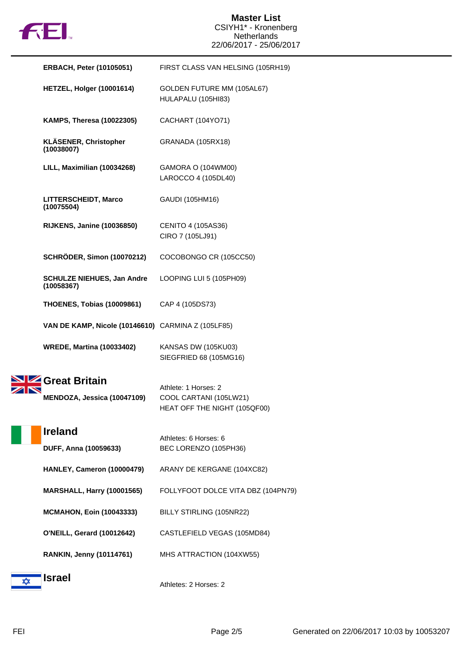

|   | <b>ERBACH, Peter (10105051)</b>                    | FIRST CLASS VAN HELSING (105RH19)                                              |
|---|----------------------------------------------------|--------------------------------------------------------------------------------|
|   | HETZEL, Holger (10001614)                          | GOLDEN FUTURE MM (105AL67)<br>HULAPALU (105HI83)                               |
|   | <b>KAMPS, Theresa (10022305)</b>                   | CACHART (104YO71)                                                              |
|   | <b>KLÄSENER, Christopher</b><br>(10038007)         | GRANADA (105RX18)                                                              |
|   | LILL, Maximilian (10034268)                        | GAMORA O (104WM00)<br>LAROCCO 4 (105DL40)                                      |
|   | LITTERSCHEIDT, Marco<br>(10075504)                 | GAUDI (105HM16)                                                                |
|   | <b>RIJKENS, Janine (10036850)</b>                  | CENITO 4 (105AS36)<br>CIRO 7 (105LJ91)                                         |
|   | <b>SCHRÖDER, Simon (10070212)</b>                  | COCOBONGO CR (105CC50)                                                         |
|   | <b>SCHULZE NIEHUES, Jan Andre</b><br>(10058367)    | LOOPING LUI 5 (105PH09)                                                        |
|   | <b>THOENES, Tobias (10009861)</b>                  | CAP 4 (105DS73)                                                                |
|   | VAN DE KAMP, Nicole (10146610) CARMINA Z (105LF85) |                                                                                |
|   | <b>WREDE, Martina (10033402)</b>                   | KANSAS DW (105KU03)<br>SIEGFRIED 68 (105MG16)                                  |
|   | Great Britain<br>MENDOZA, Jessica (10047109)       | Athlete: 1 Horses: 2<br>COOL CARTANI (105LW21)<br>HEAT OFF THE NIGHT (105QF00) |
|   | <b>Ireland</b><br>DUFF, Anna (10059633)            | Athletes: 6 Horses: 6<br>BEC LORENZO (105PH36)                                 |
|   | HANLEY, Cameron (10000479)                         | ARANY DE KERGANE (104XC82)                                                     |
|   | <b>MARSHALL, Harry (10001565)</b>                  | FOLLYFOOT DOLCE VITA DBZ (104PN79)                                             |
|   | <b>MCMAHON, Eoin (10043333)</b>                    | BILLY STIRLING (105NR22)                                                       |
|   | <b>O'NEILL, Gerard (10012642)</b>                  | CASTLEFIELD VEGAS (105MD84)                                                    |
|   | <b>RANKIN, Jenny (10114761)</b>                    | MHS ATTRACTION (104XW55)                                                       |
| ✿ | <b>Israel</b>                                      | Athletes: 2 Horses: 2                                                          |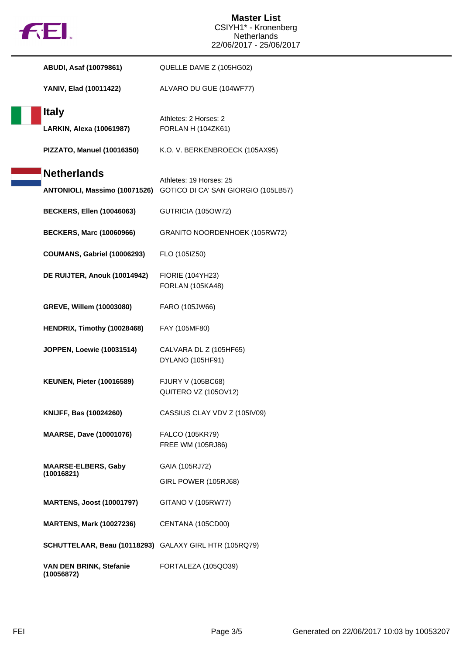

| <b>ABUDI, Asaf (10079861)</b>                          | QUELLE DAME Z (105HG02)                                                                      |
|--------------------------------------------------------|----------------------------------------------------------------------------------------------|
| YANIV, Elad (10011422)                                 | ALVARO DU GUE (104WF77)                                                                      |
| <b>Italy</b><br>LARKIN, Alexa (10061987)               | Athletes: 2 Horses: 2<br><b>FORLAN H (104ZK61)</b>                                           |
| PIZZATO, Manuel (10016350)                             | K.O. V. BERKENBROECK (105AX95)                                                               |
| <b>Netherlands</b>                                     | Athletes: 19 Horses: 25<br>ANTONIOLI, Massimo (10071526) GOTICO DI CA' SAN GIORGIO (105LB57) |
| <b>BECKERS, Ellen (10046063)</b>                       | GUTRICIA (105OW72)                                                                           |
| <b>BECKERS, Marc (10060966)</b>                        | GRANITO NOORDENHOEK (105RW72)                                                                |
| COUMANS, Gabriel (10006293)                            | FLO (105IZ50)                                                                                |
| DE RUIJTER, Anouk (10014942)                           | <b>FIORIE (104YH23)</b><br><b>FORLAN (105KA48)</b>                                           |
| GREVE, Willem (10003080)                               | FARO (105JW66)                                                                               |
| HENDRIX, Timothy (10028468)                            | FAY (105MF80)                                                                                |
| <b>JOPPEN, Loewie (10031514)</b>                       | CALVARA DL Z (105HF65)<br>DYLANO (105HF91)                                                   |
| <b>KEUNEN, Pieter (10016589)</b>                       | <b>FJURY V (105BC68)</b><br>QUITERO VZ (105OV12)                                             |
| KNIJFF, Bas (10024260)                                 | CASSIUS CLAY VDV Z (105IV09)                                                                 |
| <b>MAARSE, Dave (10001076)</b>                         | FALCO (105KR79)<br>FREE WM (105RJ86)                                                         |
| <b>MAARSE-ELBERS, Gaby</b><br>(10016821)               | GAIA (105RJ72)<br>GIRL POWER (105RJ68)                                                       |
| <b>MARTENS, Joost (10001797)</b>                       | GITANO V (105RW77)                                                                           |
| <b>MARTENS, Mark (10027236)</b>                        | CENTANA (105CD00)                                                                            |
| SCHUTTELAAR, Beau (10118293) GALAXY GIRL HTR (105RQ79) |                                                                                              |
| VAN DEN BRINK, Stefanie<br>(10056872)                  | FORTALEZA (105QO39)                                                                          |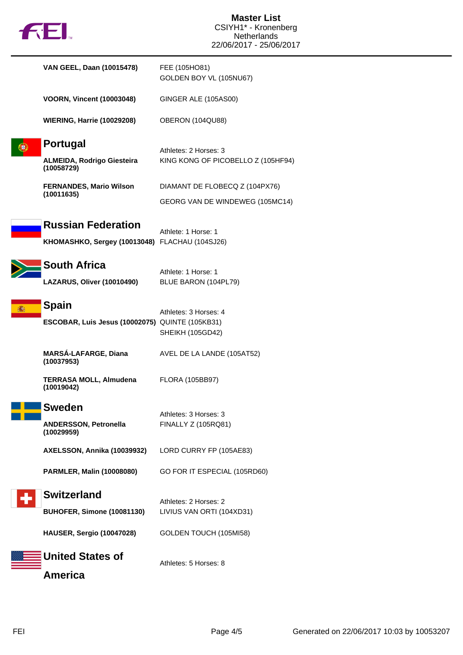| $f$ to $f$                                                                  | <b>Master List</b><br>CSIYH1* - Kronenberg<br><b>Netherlands</b><br>22/06/2017 - 25/06/2017 |
|-----------------------------------------------------------------------------|---------------------------------------------------------------------------------------------|
| VAN GEEL, Daan (10015478)                                                   | FEE (105HO81)<br>GOLDEN BOY VL (105NU67)                                                    |
| <b>VOORN, Vincent (10003048)</b>                                            | GINGER ALE (105AS00)                                                                        |
| <b>WIERING, Harrie (10029208)</b>                                           | OBERON (104QU88)                                                                            |
| <b>Portugal</b>                                                             | Athletes: 2 Horses: 3                                                                       |
| <b>ALMEIDA, Rodrigo Giesteira</b><br>(10058729)                             | KING KONG OF PICOBELLO Z (105HF94)                                                          |
| <b>FERNANDES, Mario Wilson</b>                                              | DIAMANT DE FLOBECQ Z (104PX76)                                                              |
| (10011635)                                                                  | GEORG VAN DE WINDEWEG (105MC14)                                                             |
| <b>Russian Federation</b><br>KHOMASHKO, Sergey (10013048) FLACHAU (104SJ26) | Athlete: 1 Horse: 1                                                                         |
| <b>South Africa</b>                                                         | Athlete: 1 Horse: 1                                                                         |
| LAZARUS, Oliver (10010490)                                                  | BLUE BARON (104PL79)                                                                        |
| <b>Spain</b>                                                                | Athletes: 3 Horses: 4                                                                       |
| ESCOBAR, Luis Jesus (10002075) QUINTE (105KB31)                             | <b>SHEIKH (105GD42)</b>                                                                     |
| <b>MARSÁ-LAFARGE, Diana</b><br>(10037953)                                   | AVEL DE LA LANDE (105AT52)                                                                  |
| <b>TERRASA MOLL, Almudena</b><br>(10019042)                                 | <b>FLORA (105BB97)</b>                                                                      |
| <b>Sweden</b>                                                               |                                                                                             |
| <b>ANDERSSON, Petronella</b><br>(10029959)                                  | Athletes: 3 Horses: 3<br>FINALLY Z (105RQ81)                                                |
| AXELSSON, Annika (10039932)                                                 | LORD CURRY FP (105AE83)                                                                     |
| <b>PARMLER, Malin (10008080)</b>                                            | GO FOR IT ESPECIAL (105RD60)                                                                |
| <b>Switzerland</b>                                                          |                                                                                             |
| <b>BUHOFER, Simone (10081130)</b>                                           | Athletes: 2 Horses: 2<br>LIVIUS VAN ORTI (104XD31)                                          |
| <b>HAUSER, Sergio (10047028)</b>                                            | GOLDEN TOUCH (105MI58)                                                                      |
| <b>United States of</b>                                                     | Athletes: 5 Horses: 8                                                                       |